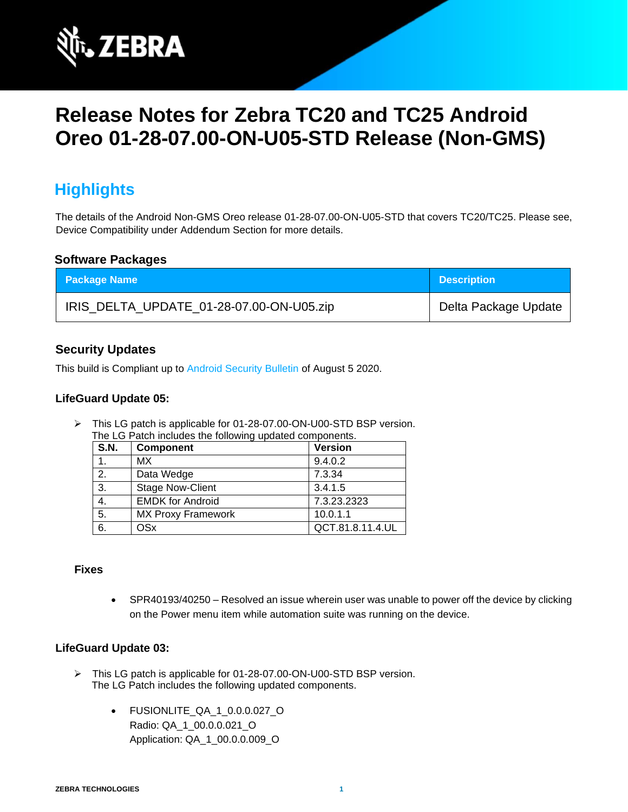

# **Release Notes for Zebra TC20 and TC25 Android Oreo 01-28-07.00-ON-U05-STD Release (Non-GMS)**

# **Highlights**

The details of the Android Non-GMS Oreo release 01-28-07.00-ON-U05-STD that covers TC20/TC25. Please see, Device Compatibility under Addendum Section for more details.

#### **Software Packages**

| <b>Package Name</b>                      | <b>Description</b>   |
|------------------------------------------|----------------------|
| IRIS_DELTA_UPDATE_01-28-07.00-ON-U05.zip | Delta Package Update |

### **Security Updates**

This build is Compliant up to [Android Security Bulletin](https://source.android.com/security/bulletin/) of August 5 2020.

#### **LifeGuard Update 05:**

➢ This LG patch is applicable for 01-28-07.00-ON-U00-STD BSP version. The LG Patch includes the following updated components.

| S.N. | Component                 | <b>Version</b>   |
|------|---------------------------|------------------|
|      | <b>MX</b>                 | 9.4.0.2          |
| 2.   | Data Wedge                | 7.3.34           |
| 3.   | <b>Stage Now-Client</b>   | 3.4.1.5          |
| 4.   | <b>EMDK for Android</b>   | 7.3.23.2323      |
| 5.   | <b>MX Proxy Framework</b> | 10.0.1.1         |
| 6.   | OSx                       | QCT.81.8.11.4.UL |

#### **Fixes**

• SPR40193/40250 – Resolved an issue wherein user was unable to power off the device by clicking on the Power menu item while automation suite was running on the device.

#### **LifeGuard Update 03:**

- ➢ This LG patch is applicable for 01-28-07.00-ON-U00-STD BSP version. The LG Patch includes the following updated components.
	- FUSIONLITE\_QA\_1\_0.0.0.027\_O Radio: QA\_1\_00.0.0.021\_O Application: QA\_1\_00.0.0.009\_O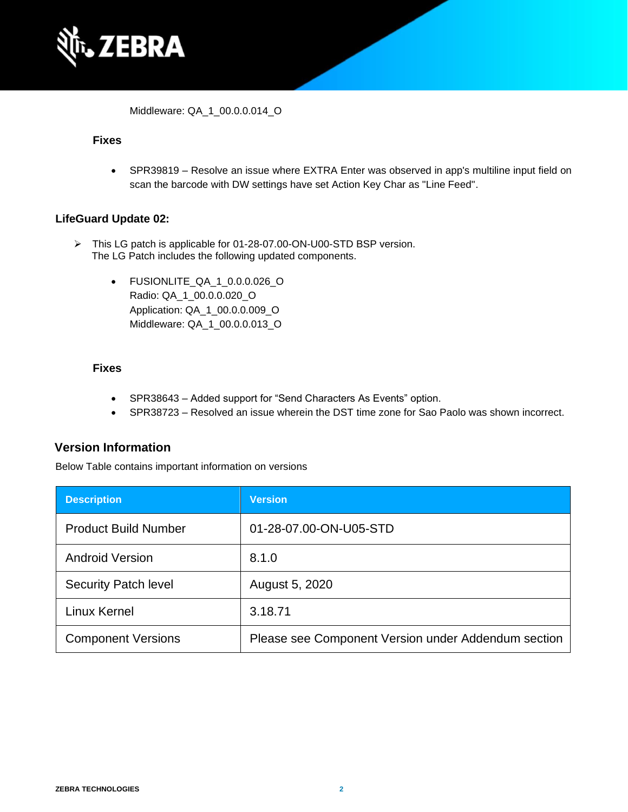

Middleware: QA\_1\_00.0.0.014\_O

#### **Fixes**

• SPR39819 – Resolve an issue where EXTRA Enter was observed in app's multiline input field on scan the barcode with DW settings have set Action Key Char as "Line Feed".

#### **LifeGuard Update 02:**

- ➢ This LG patch is applicable for 01-28-07.00-ON-U00-STD BSP version. The LG Patch includes the following updated components.
	- FUSIONLITE\_QA\_1\_0.0.0.026\_O Radio: QA\_1\_00.0.0.020\_O Application: QA\_1\_00.0.0.009\_O Middleware: QA\_1\_00.0.0.013\_O

#### **Fixes**

- SPR38643 Added support for "Send Characters As Events" option.
- SPR38723 Resolved an issue wherein the DST time zone for Sao Paolo was shown incorrect.

### **Version Information**

Below Table contains important information on versions

| <b>Description</b>          | <b>Version</b>                                      |
|-----------------------------|-----------------------------------------------------|
| <b>Product Build Number</b> | 01-28-07.00-ON-U05-STD                              |
| <b>Android Version</b>      | 8.1.0                                               |
| <b>Security Patch level</b> | August 5, 2020                                      |
| Linux Kernel                | 3.18.71                                             |
| <b>Component Versions</b>   | Please see Component Version under Addendum section |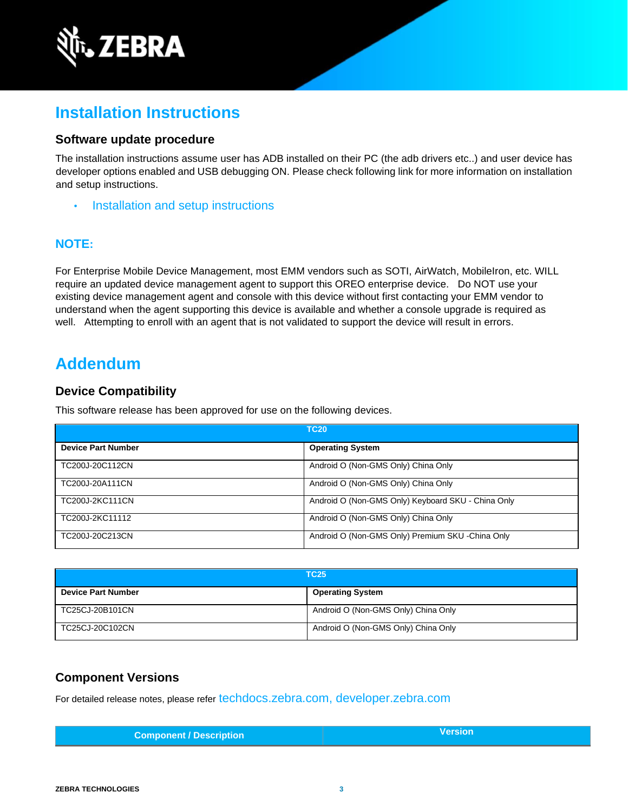

# **Installation Instructions**

#### **Software update procedure**

The installation instructions assume user has ADB installed on their PC (the adb drivers etc..) and user device has developer options enabled and USB debugging ON. Please check following link for more information on installation and setup instructions.

**[Installation and setup instructions](https://www.zebra.com/content/dam/zebra_new_ia/en-us/software/operating-system/tc20-operating-system/Android-O-OS-Update-TC20-and-TC25-NGMS.pdf)** 

### **NOTE:**

For Enterprise Mobile Device Management, most EMM vendors such as SOTI, AirWatch, MobileIron, etc. WILL require an updated device management agent to support this OREO enterprise device. Do NOT use your existing device management agent and console with this device without first contacting your EMM vendor to understand when the agent supporting this device is available and whether a console upgrade is required as well. Attempting to enroll with an agent that is not validated to support the device will result in errors.

### **Addendum**

### **Device Compatibility**

This software release has been approved for use on the following devices.

| <b>TC20</b>               |                                                    |
|---------------------------|----------------------------------------------------|
| <b>Device Part Number</b> | <b>Operating System</b>                            |
| TC200J-20C112CN           | Android O (Non-GMS Only) China Only                |
| TC200J-20A111CN           | Android O (Non-GMS Only) China Only                |
| TC200J-2KC111CN           | Android O (Non-GMS Only) Keyboard SKU - China Only |
| TC200J-2KC11112           | Android O (Non-GMS Only) China Only                |
| TC200J-20C213CN           | Android O (Non-GMS Only) Premium SKU -China Only   |

| <b>TC25</b>               |                                     |
|---------------------------|-------------------------------------|
| <b>Device Part Number</b> | <b>Operating System</b>             |
| TC25CJ-20B101CN           | Android O (Non-GMS Only) China Only |
| TC25CJ-20C102CN           | Android O (Non-GMS Only) China Only |

### **Component Versions**

For detailed release notes, please refer [techdocs.zebra.com,](https://techdocs.zebra.com/) [developer.zebra.com](https://developer.zebra.com/)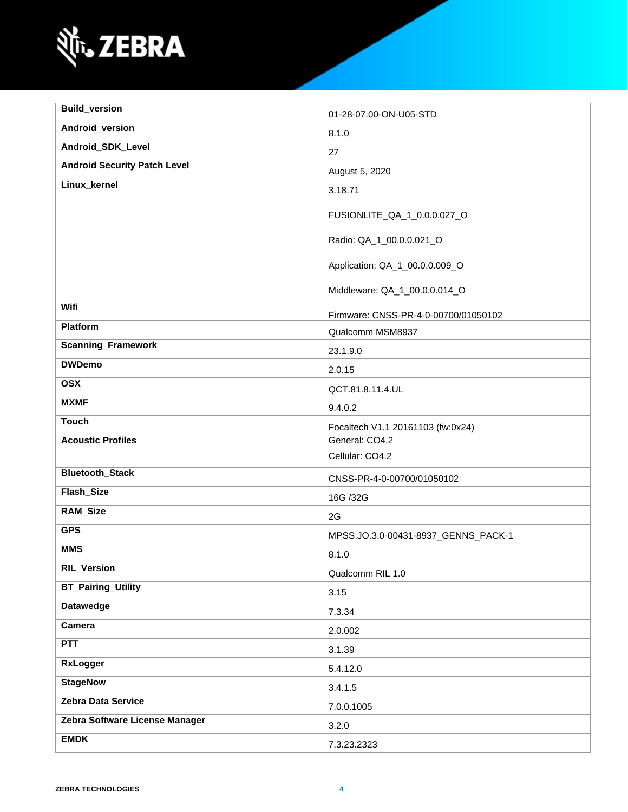

| <b>Build_version</b>                | 01-28-07.00-ON-U05-STD               |
|-------------------------------------|--------------------------------------|
| Android_version                     | 8.1.0                                |
| Android_SDK_Level                   | 27                                   |
| <b>Android Security Patch Level</b> | August 5, 2020                       |
| Linux_kernel                        | 3.18.71                              |
|                                     | FUSIONLITE_QA_1_0.0.0.027_O          |
|                                     |                                      |
|                                     | Radio: QA_1_00.0.0.021_O             |
|                                     | Application: QA_1_00.0.0.009_O       |
|                                     | Middleware: QA_1_00.0.0.014_O        |
| Wifi                                | Firmware: CNSS-PR-4-0-00700/01050102 |
| Platform                            | Qualcomm MSM8937                     |
| <b>Scanning_Framework</b>           | 23.1.9.0                             |
| <b>DWDemo</b>                       | 2.0.15                               |
| <b>OSX</b>                          | QCT.81.8.11.4.UL                     |
| <b>MXMF</b>                         | 9.4.0.2                              |
| <b>Touch</b>                        | Focaltech V1.1 20161103 (fw:0x24)    |
| <b>Acoustic Profiles</b>            | General: CO4.2                       |
|                                     | Cellular: CO4.2                      |
| <b>Bluetooth_Stack</b>              | CNSS-PR-4-0-00700/01050102           |
| Flash_Size                          | 16G /32G                             |
| RAM_Size                            | 2G                                   |
| <b>GPS</b>                          | MPSS.JO.3.0-00431-8937_GENNS_PACK-1  |
| <b>MMS</b>                          | 8.1.0                                |
| <b>RIL_Version</b>                  | Qualcomm RIL 1.0                     |
| <b>BT_Pairing_Utility</b>           | 3.15                                 |
| <b>Datawedge</b>                    | 7.3.34                               |
| Camera                              | 2.0.002                              |
| <b>PTT</b>                          | 3.1.39                               |
| <b>RxLogger</b>                     | 5.4.12.0                             |
| <b>StageNow</b>                     | 3.4.1.5                              |
| Zebra Data Service                  | 7.0.0.1005                           |
| Zebra Software License Manager      | 3.2.0                                |
| <b>EMDK</b>                         | 7.3.23.2323                          |